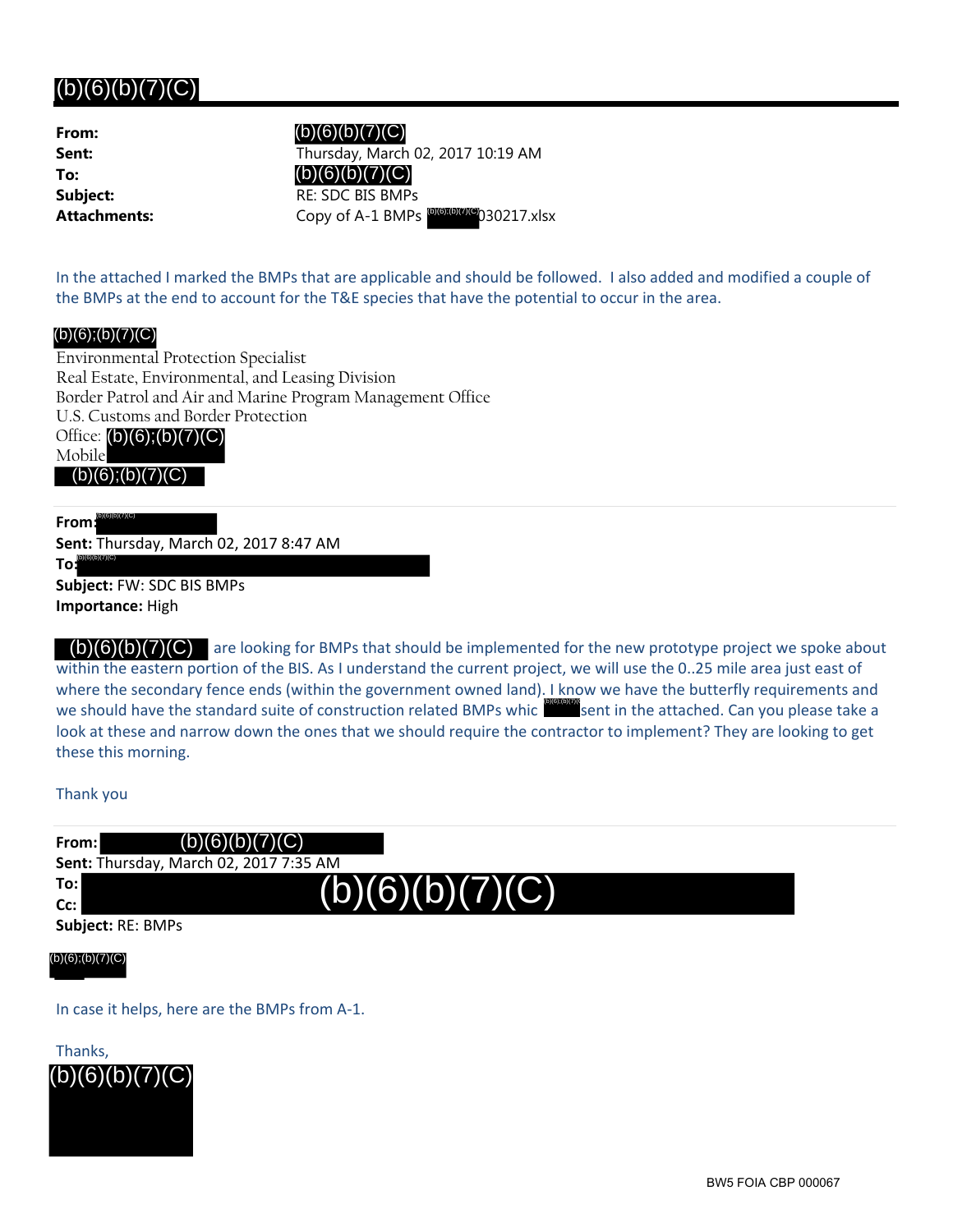## $(b)(6)(b)(7)(C)$

| From:       |
|-------------|
| Sent:       |
| To:         |
| Subject:    |
| Attachments |
|             |

**Sent:** Thursday, March 02, 2017 10:19 AM **Subject:** RE: SDC BIS BMPs **Attachments:** Copy of A-1 BMPs 030217.xlsx (b)(6);(b)(7)(C) (b)(6)(b)(7)(C) (b)(6)(b)(7)(C)

In the attached I marked the BMPs that are applicable and should be followed. I also added and modified a couple of the BMPs at the end to account for the T&E species that have the potential to occur in the area.

## (b)(6);(b)(7)(C)

Environmental Protection Specialist Real Estate, Environmental, and Leasing Division Border Patrol and Air and Marine Program Management Office U.S. Customs and Border Protection Office: (b)(6);(b)(7)(C) Mobile  $(b)(6);(b)(7)(C)$ 

**From:** (b)(6)(b)(7)(C)

**Sent:** Thursday, March 02, 2017 8:47 AM (b)(6)(b)(7)(C)

**To: Subject:** FW: SDC BIS BMPs **Importance:** High

 $\mathcal{L}(5)(6)(5)(7)(9)$  are looking for BMPs that should be implemented for the new prototype project we spoke about within the eastern portion of the BIS. As I understand the current project, we will use the 0..25 mile area just east of where the secondary fence ends (within the government owned land). I know we have the butterfly requirements and we should have the standard suite of construction related BMPs whic sent in the attached. Can you please take a look at these and narrow down the ones that we should require the contractor to implement? They are looking to get these this morning. (b)(6)(b)(7)(C) are looking for<br>tithin the eastern portion of the BI:<br>here the secondary fence ends (we should have the standard suite of<br>ok at these and narrow down the<br>lese this morning.<br>nank you<br>**om:** (b)(6)(b)(7)(C)

Thank you

| From:             | (b)(6)(b)(7)(C)                               |  |
|-------------------|-----------------------------------------------|--|
|                   | <b>Sent: Thursday, March 02, 2017 7:35 AM</b> |  |
| To:l<br>Cc:       | (b)(6)(b)(7)(C)                               |  |
| Subject: RE: BMPs |                                               |  |

(b)(6)(b)(7)(C) (b)(6);(b)(7)(C)

In case it helps, here are the BMPs from A‐1.

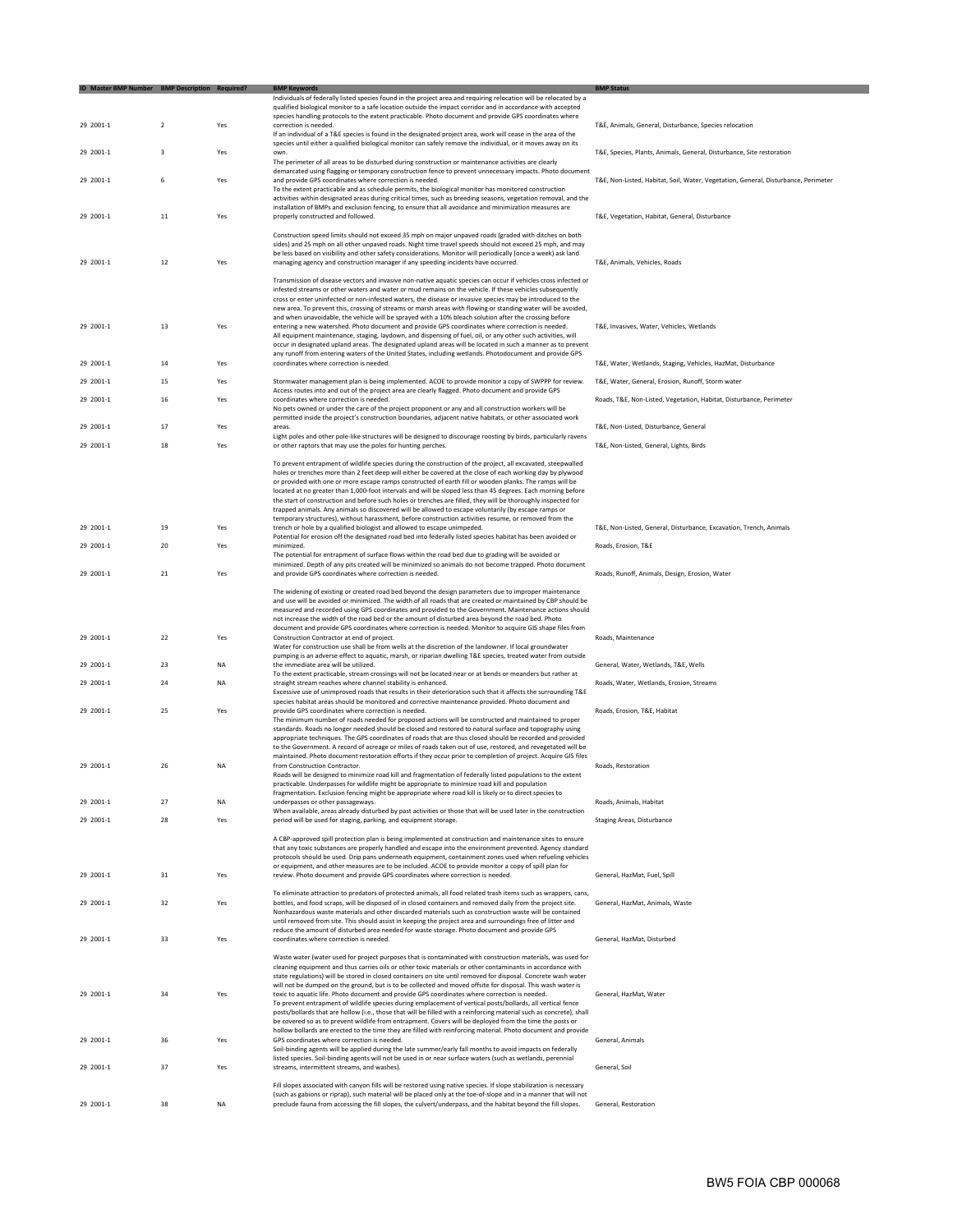| ID Master BMP Number BMP Description Required? |                         |           | <b>BMP Keywords</b>                                                                                                                                                                                                               | <b>BMP Status</b>                                                                  |
|------------------------------------------------|-------------------------|-----------|-----------------------------------------------------------------------------------------------------------------------------------------------------------------------------------------------------------------------------------|------------------------------------------------------------------------------------|
|                                                |                         |           | Individuals of federally listed species found in the project area and requiring relocation will be relocated by a                                                                                                                 |                                                                                    |
|                                                |                         |           | qualified biological monitor to a safe location outside the impact corridor and in accordance with accepted                                                                                                                       |                                                                                    |
| 29 2001-1                                      | $\overline{2}$          | Yes       | species handling protocols to the extent practicable. Photo document and provide GPS coordinates where<br>correction is needed.                                                                                                   |                                                                                    |
|                                                |                         |           | If an individual of a T&E species is found in the designated project area, work will cease in the area of the                                                                                                                     | T&E, Animals, General, Disturbance, Species relocation                             |
|                                                |                         |           | species until either a qualified biological monitor can safely remove the individual, or it moves away on its                                                                                                                     |                                                                                    |
| 29 2001-1                                      | $\overline{\mathbf{3}}$ | Yes       | own.                                                                                                                                                                                                                              | T&E, Species, Plants, Animals, General, Disturbance, Site restoration              |
|                                                |                         |           | The perimeter of all areas to be disturbed during construction or maintenance activities are clearly                                                                                                                              |                                                                                    |
|                                                |                         |           | demarcated using flagging or temporary construction fence to prevent unnecessary impacts. Photo document                                                                                                                          |                                                                                    |
| 29 2001-1                                      | 6                       | Yes       | and provide GPS coordinates where correction is needed.                                                                                                                                                                           | T&E, Non-Listed, Habitat, Soil, Water, Vegetation, General, Disturbance, Perimeter |
|                                                |                         |           | To the extent practicable and as schedule permits, the biological monitor has monitored construction                                                                                                                              |                                                                                    |
|                                                |                         |           | activities within designated areas during critical times, such as breeding seasons, vegetation removal, and the                                                                                                                   |                                                                                    |
| 29 2001-1                                      | 11                      | Yes       | installation of BMPs and exclusion fencing, to ensure that all avoidance and minimization measures are<br>properly constructed and followed.                                                                                      | T&E, Vegetation, Habitat, General, Disturbance                                     |
|                                                |                         |           |                                                                                                                                                                                                                                   |                                                                                    |
|                                                |                         |           | Construction speed limits should not exceed 35 mph on major unpaved roads (graded with ditches on both                                                                                                                            |                                                                                    |
|                                                |                         |           | sides) and 25 mph on all other unpaved roads. Night time travel speeds should not exceed 25 mph, and may                                                                                                                          |                                                                                    |
|                                                |                         |           | be less based on visibility and other safety considerations. Monitor will periodically (once a week) ask land                                                                                                                     |                                                                                    |
| 29 2001-1                                      | 12                      | Yes       | managing agency and construction manager if any speeding incidents have occurred.                                                                                                                                                 | T&E, Animals, Vehicles, Roads                                                      |
|                                                |                         |           | Transmission of disease vectors and invasive non-native aquatic species can occur if vehicles cross infected or                                                                                                                   |                                                                                    |
|                                                |                         |           | infested streams or other waters and water or mud remains on the vehicle. If these vehicles subsequently                                                                                                                          |                                                                                    |
|                                                |                         |           | cross or enter uninfected or non-infested waters, the disease or invasive species may be introduced to the                                                                                                                        |                                                                                    |
|                                                |                         |           | new area. To prevent this, crossing of streams or marsh areas with flowing or standing water will be avoided,                                                                                                                     |                                                                                    |
|                                                |                         |           | and when unavoidable, the vehicle will be sprayed with a 10% bleach solution after the crossing before                                                                                                                            |                                                                                    |
| 29 2001-1                                      | 13                      | Yes       | entering a new watershed. Photo document and provide GPS coordinates where correction is needed.                                                                                                                                  | T&E, Invasives, Water, Vehicles, Wetlands                                          |
|                                                |                         |           | All equipment maintenance, staging, laydown, and dispensing of fuel, oil, or any other such activities, will<br>occur in designated upland areas. The designated upland areas will be located in such a manner as to prevent      |                                                                                    |
|                                                |                         |           | any runoff from entering waters of the United States, including wetlands. Photodocument and provide GPS                                                                                                                           |                                                                                    |
| 29 2001-1                                      | 14                      | Yes       | coordinates where correction is needed.                                                                                                                                                                                           | T&E, Water, Wetlands, Staging, Vehicles, HazMat, Disturbance                       |
|                                                |                         |           |                                                                                                                                                                                                                                   |                                                                                    |
| 29 2001-1                                      | 15                      | Yes       | Stormwater management plan is being implemented. ACOE to provide monitor a copy of SWPPP for review.                                                                                                                              | T&E, Water, General, Erosion, Runoff, Storm water                                  |
|                                                |                         |           | Access routes into and out of the project area are clearly flagged. Photo document and provide GPS                                                                                                                                |                                                                                    |
| 29 2001-1                                      | 16                      | Yes       | coordinates where correction is needed.                                                                                                                                                                                           | Roads, T&E, Non-Listed, Vegetation, Habitat, Disturbance, Perimeter                |
|                                                |                         |           | No pets owned or under the care of the project proponent or any and all construction workers will be                                                                                                                              |                                                                                    |
| 29 2001-1                                      | 17                      | Yes       | permitted inside the project's construction boundaries, adjacent native habitats, or other associated work<br>areas.                                                                                                              | T&E, Non-Listed, Disturbance, General                                              |
|                                                |                         |           | Light poles and other pole-like structures will be designed to discourage roosting by birds, particularly ravens                                                                                                                  |                                                                                    |
| 29 2001-1                                      | 18                      | Yes       | or other raptors that may use the poles for hunting perches.                                                                                                                                                                      | T&E, Non-Listed, General, Lights, Birds                                            |
|                                                |                         |           |                                                                                                                                                                                                                                   |                                                                                    |
|                                                |                         |           | To prevent entrapment of wildlife species during the construction of the project, all excavated, steepwalled                                                                                                                      |                                                                                    |
|                                                |                         |           | holes or trenches more than 2 feet deep will either be covered at the close of each working day by plywood                                                                                                                        |                                                                                    |
|                                                |                         |           | or provided with one or more escape ramps constructed of earth fill or wooden planks. The ramps will be                                                                                                                           |                                                                                    |
|                                                |                         |           | located at no greater than 1,000-foot intervals and will be sloped less than 45 degrees. Each morning before<br>the start of construction and before such holes or trenches are filled, they will be thoroughly inspected for     |                                                                                    |
|                                                |                         |           | trapped animals. Any animals so discovered will be allowed to escape voluntarily (by escape ramps or                                                                                                                              |                                                                                    |
|                                                |                         |           | temporary structures), without harassment, before construction activities resume, or removed from the                                                                                                                             |                                                                                    |
| 29 2001-1                                      | 19                      | Yes       | trench or hole by a qualified biologist and allowed to escape unimpeded.                                                                                                                                                          | T&E, Non-Listed, General, Disturbance, Excavation, Trench, Animals                 |
|                                                |                         |           | Potential for erosion off the designated road bed into federally listed species habitat has been avoided or                                                                                                                       |                                                                                    |
| 29 2001-1                                      | 20                      | Yes       | minimized.                                                                                                                                                                                                                        | Roads, Erosion, T&E                                                                |
|                                                |                         |           | The potential for entrapment of surface flows within the road bed due to grading will be avoided or                                                                                                                               |                                                                                    |
| 29 2001-1                                      | 21                      | Yes       | minimized. Depth of any pits created will be minimized so animals do not become trapped. Photo document<br>and provide GPS coordinates where correction is needed.                                                                | Roads, Runoff, Animals, Design, Erosion, Water                                     |
|                                                |                         |           |                                                                                                                                                                                                                                   |                                                                                    |
|                                                |                         |           | The widening of existing or created road bed beyond the design parameters due to improper maintenance                                                                                                                             |                                                                                    |
|                                                |                         |           | and use will be avoided or minimized. The width of all roads that are created or maintained by CBP should be                                                                                                                      |                                                                                    |
|                                                |                         |           | measured and recorded using GPS coordinates and provided to the Government. Maintenance actions should                                                                                                                            |                                                                                    |
|                                                |                         |           | not increase the width of the road bed or the amount of disturbed area beyond the road bed. Photo                                                                                                                                 |                                                                                    |
|                                                |                         |           | document and provide GPS coordinates where correction is needed. Monitor to acquire GIS shape files from                                                                                                                          |                                                                                    |
| 29 2001-1                                      | 22                      | Yes       | Construction Contractor at end of project.                                                                                                                                                                                        | Roads, Maintenance                                                                 |
|                                                |                         |           | Water for construction use shall be from wells at the discretion of the landowner. If local groundwater<br>pumping is an adverse effect to aquatic, marsh, or riparian dwelling T&E species, treated water from outside           |                                                                                    |
| 29 2001-1                                      | 23                      | NA        | the immediate area will be utilized.                                                                                                                                                                                              | General, Water, Wetlands, T&E, Wells                                               |
|                                                |                         |           | To the extent practicable, stream crossings will not be located near or at bends or meanders but rather at                                                                                                                        |                                                                                    |
| 29 2001-1                                      | 24                      | <b>NA</b> | straight stream reaches where channel stability is enhanced.                                                                                                                                                                      | Roads, Water, Wetlands, Erosion, Streams                                           |
|                                                |                         |           | Excessive use of unimproved roads that results in their deterioration such that it affects the surrounding T&E                                                                                                                    |                                                                                    |
|                                                |                         |           | species habitat areas should be monitored and corrective maintenance provided. Photo document and                                                                                                                                 |                                                                                    |
| 29 2001-1                                      | 25                      | Yes       | provide GPS coordinates where correction is needed.                                                                                                                                                                               | Roads, Erosion, T&E, Habitat                                                       |
|                                                |                         |           | The minimum number of roads needed for proposed actions will be constructed and maintained to proper<br>standards. Roads no longer needed should be closed and restored to natural surface and topography using                   |                                                                                    |
|                                                |                         |           | appropriate techniques. The GPS coordinates of roads that are thus closed should be recorded and provided                                                                                                                         |                                                                                    |
|                                                |                         |           | to the Government. A record of acreage or miles of roads taken out of use, restored, and revegetated will be                                                                                                                      |                                                                                    |
|                                                |                         |           | maintained. Photo document restoration efforts if they occur prior to completion of project. Acquire GIS files                                                                                                                    |                                                                                    |
| 29 2001-1                                      | 26                      | <b>NA</b> | from Construction Contractor.                                                                                                                                                                                                     | Roads, Restoration                                                                 |
|                                                |                         |           | Roads will be designed to minimize road kill and fragmentation of federally listed populations to the extent                                                                                                                      |                                                                                    |
|                                                |                         |           | practicable. Underpasses for wildlife might be appropriate to minimize road kill and population                                                                                                                                   |                                                                                    |
| 29 2001-1                                      | 27                      | <b>NA</b> | fragmentation. Exclusion fencing might be appropriate where road kill is likely or to direct species to<br>underpasses or other passageways.                                                                                      | Roads, Animals, Habitat                                                            |
|                                                |                         |           | When available, areas already disturbed by past activities or those that will be used later in the construction                                                                                                                   |                                                                                    |
| 29 2001-1                                      | 28                      | Yes       | period will be used for staging, parking, and equipment storage.                                                                                                                                                                  | <b>Staging Areas, Disturbance</b>                                                  |
|                                                |                         |           |                                                                                                                                                                                                                                   |                                                                                    |
|                                                |                         |           | A CBP-approved spill protection plan is being implemented at construction and maintenance sites to ensure                                                                                                                         |                                                                                    |
|                                                |                         |           | that any toxic substances are properly handled and escape into the environment prevented. Agency standard                                                                                                                         |                                                                                    |
|                                                |                         |           | protocols should be used. Drip pans underneath equipment, containment zones used when refueling vehicles<br>or equipment, and other measures are to be included. ACOE to provide monitor a copy of spill plan for                 |                                                                                    |
| 29 2001-1                                      | 31                      | Yes       | review. Photo document and provide GPS coordinates where correction is needed.                                                                                                                                                    | General, HazMat, Fuel, Spill                                                       |
|                                                |                         |           |                                                                                                                                                                                                                                   |                                                                                    |
|                                                |                         |           | To eliminate attraction to predators of protected animals, all food related trash items such as wrappers, cans,                                                                                                                   |                                                                                    |
| 29 2001-1                                      | 32                      | Yes       | bottles, and food scraps, will be disposed of in closed containers and removed daily from the project site.                                                                                                                       | General, HazMat, Animals, Waste                                                    |
|                                                |                         |           | Nonhazardous waste materials and other discarded materials such as construction waste will be contained                                                                                                                           |                                                                                    |
|                                                |                         |           | until removed from site. This should assist in keeping the project area and surroundings free of litter and                                                                                                                       |                                                                                    |
|                                                |                         |           | reduce the amount of disturbed area needed for waste storage. Photo document and provide GPS                                                                                                                                      |                                                                                    |
| 29 2001-1                                      | 33                      | Yes       | coordinates where correction is needed.                                                                                                                                                                                           | General, HazMat, Disturbed                                                         |
|                                                |                         |           | Waste water (water used for project purposes that is contaminated with construction materials, was used for                                                                                                                       |                                                                                    |
|                                                |                         |           | cleaning equipment and thus carries oils or other toxic materials or other contaminants in accordance with                                                                                                                        |                                                                                    |
|                                                |                         |           | state regulations) will be stored in closed containers on site until removed for disposal. Concrete wash water                                                                                                                    |                                                                                    |
|                                                |                         |           | will not be dumped on the ground, but is to be collected and moved offsite for disposal. This wash water is                                                                                                                       |                                                                                    |
| 29 2001-1                                      | 34                      | Yes       | toxic to aquatic life. Photo document and provide GPS coordinates where correction is needed.                                                                                                                                     | General, HazMat, Water                                                             |
|                                                |                         |           | To prevent entrapment of wildlife species during emplacement of vertical posts/bollards, all vertical fence                                                                                                                       |                                                                                    |
|                                                |                         |           | posts/bollards that are hollow (i.e., those that will be filled with a reinforcing material such as concrete), shall                                                                                                              |                                                                                    |
|                                                |                         |           | be covered so as to prevent wildlife from entrapment. Covers will be deployed from the time the posts or<br>hollow bollards are erected to the time they are filled with reinforcing material. Photo document and provide         |                                                                                    |
| 29 2001-1                                      | 36                      | Yes       | GPS coordinates where correction is needed.                                                                                                                                                                                       | General, Animals                                                                   |
|                                                |                         |           | Soil-binding agents will be applied during the late summer/early fall months to avoid impacts on federally                                                                                                                        |                                                                                    |
|                                                |                         |           | listed species. Soil-binding agents will not be used in or near surface waters (such as wetlands, perennial                                                                                                                       |                                                                                    |
| 29 2001-1                                      | 37                      | Yes       | streams, intermittent streams, and washes).                                                                                                                                                                                       | General, Soil                                                                      |
|                                                |                         |           |                                                                                                                                                                                                                                   |                                                                                    |
|                                                |                         |           | Fill slopes associated with canyon fills will be restored using native species. If slope stabilization is necessary                                                                                                               |                                                                                    |
| 29 2001-1                                      | 38                      | NA        | (such as gabions or riprap), such material will be placed only at the toe-of-slope and in a manner that will not<br>preclude fauna from accessing the fill slopes, the culvert/underpass, and the habitat beyond the fill slopes. | General, Restoration                                                               |
|                                                |                         |           |                                                                                                                                                                                                                                   |                                                                                    |
|                                                |                         |           |                                                                                                                                                                                                                                   |                                                                                    |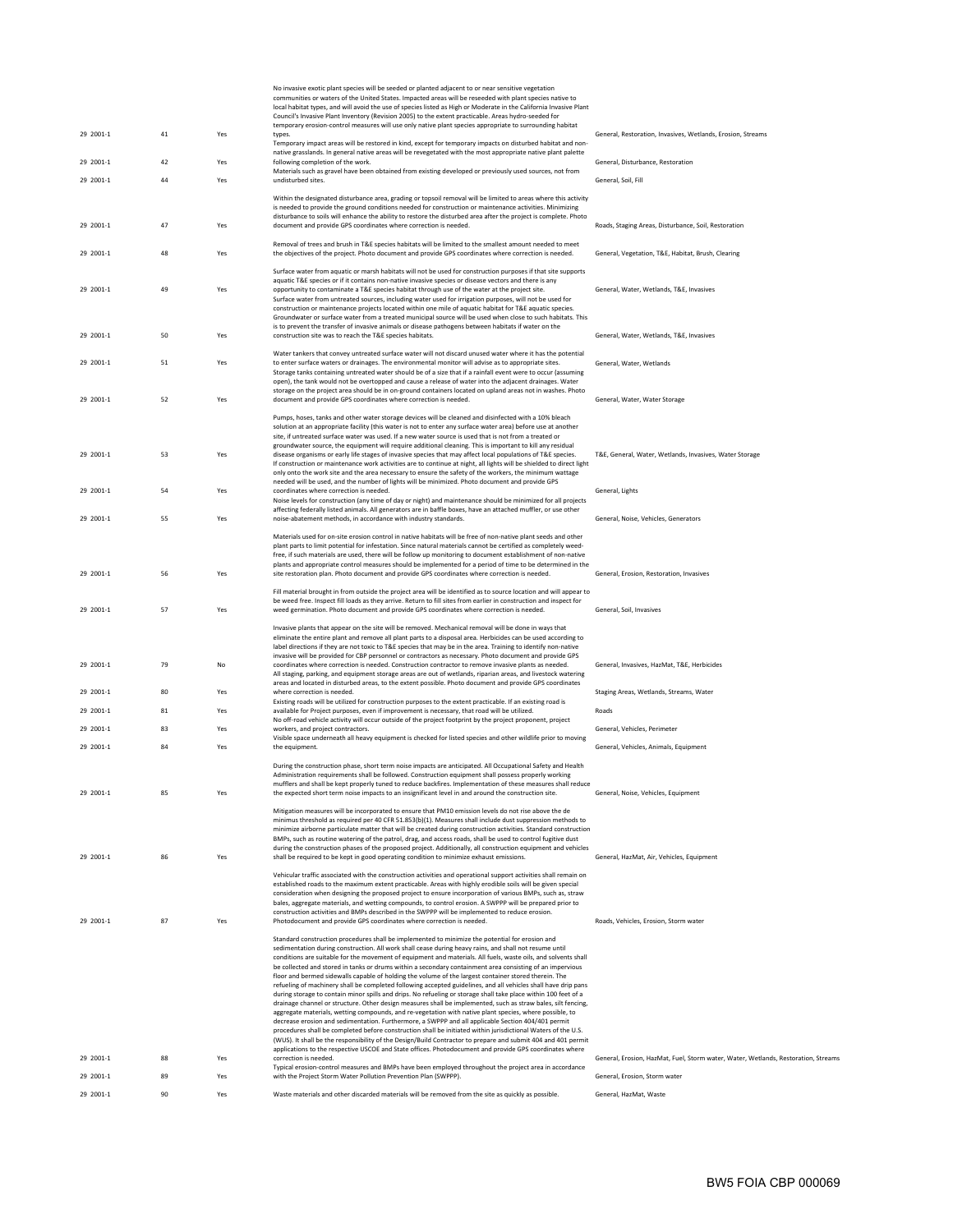|           |    |     | No invasive exotic plant species will be seeded or planted adjacent to or near sensitive vegetation<br>communities or waters of the United States. Impacted areas will be reseeded with plant species native to<br>local habitat types, and will avoid the use of species listed as High or Moderate in the California Invasive Plant<br>Council's Invasive Plant Inventory (Revision 2005) to the extent practicable. Areas hydro-seeded for<br>temporary erosion-control measures will use only native plant species appropriate to surrounding habitat                                                                                                                                                                                                                                                                                                                                                                                                                                                                                                                                                                                                                                                                                                                                                                                                  |                                                                                    |
|-----------|----|-----|------------------------------------------------------------------------------------------------------------------------------------------------------------------------------------------------------------------------------------------------------------------------------------------------------------------------------------------------------------------------------------------------------------------------------------------------------------------------------------------------------------------------------------------------------------------------------------------------------------------------------------------------------------------------------------------------------------------------------------------------------------------------------------------------------------------------------------------------------------------------------------------------------------------------------------------------------------------------------------------------------------------------------------------------------------------------------------------------------------------------------------------------------------------------------------------------------------------------------------------------------------------------------------------------------------------------------------------------------------|------------------------------------------------------------------------------------|
| 29 2001-1 | 41 | Yes | types.<br>Temporary impact areas will be restored in kind, except for temporary impacts on disturbed habitat and non-                                                                                                                                                                                                                                                                                                                                                                                                                                                                                                                                                                                                                                                                                                                                                                                                                                                                                                                                                                                                                                                                                                                                                                                                                                      | General, Restoration, Invasives, Wetlands, Erosion, Streams                        |
| 29 2001-1 | 42 | Yes | native grasslands. In general native areas will be revegetated with the most appropriate native plant palette<br>following completion of the work.                                                                                                                                                                                                                                                                                                                                                                                                                                                                                                                                                                                                                                                                                                                                                                                                                                                                                                                                                                                                                                                                                                                                                                                                         | General, Disturbance, Restoration                                                  |
| 29 2001-1 | 44 | Yes | Materials such as gravel have been obtained from existing developed or previously used sources, not from<br>undisturbed sites.                                                                                                                                                                                                                                                                                                                                                                                                                                                                                                                                                                                                                                                                                                                                                                                                                                                                                                                                                                                                                                                                                                                                                                                                                             | General, Soil, Fill                                                                |
|           |    |     | Within the designated disturbance area, grading or topsoil removal will be limited to areas where this activity                                                                                                                                                                                                                                                                                                                                                                                                                                                                                                                                                                                                                                                                                                                                                                                                                                                                                                                                                                                                                                                                                                                                                                                                                                            |                                                                                    |
|           |    |     | is needed to provide the ground conditions needed for construction or maintenance activities. Minimizing<br>disturbance to soils will enhance the ability to restore the disturbed area after the project is complete. Photo                                                                                                                                                                                                                                                                                                                                                                                                                                                                                                                                                                                                                                                                                                                                                                                                                                                                                                                                                                                                                                                                                                                               |                                                                                    |
| 29 2001-1 | 47 | Yes | document and provide GPS coordinates where correction is needed.                                                                                                                                                                                                                                                                                                                                                                                                                                                                                                                                                                                                                                                                                                                                                                                                                                                                                                                                                                                                                                                                                                                                                                                                                                                                                           | Roads, Staging Areas, Disturbance, Soil, Restoration                               |
| 29 2001-1 | 48 | Yes | Removal of trees and brush in T&E species habitats will be limited to the smallest amount needed to meet<br>the objectives of the project. Photo document and provide GPS coordinates where correction is needed.                                                                                                                                                                                                                                                                                                                                                                                                                                                                                                                                                                                                                                                                                                                                                                                                                                                                                                                                                                                                                                                                                                                                          | General, Vegetation, T&E, Habitat, Brush, Clearing                                 |
| 29 2001-1 | 49 | Yes | Surface water from aquatic or marsh habitats will not be used for construction purposes if that site supports<br>aquatic T&E species or if it contains non-native invasive species or disease vectors and there is any<br>opportunity to contaminate a T&E species habitat through use of the water at the project site.<br>Surface water from untreated sources, including water used for irrigation purposes, will not be used for<br>construction or maintenance projects located within one mile of aquatic habitat for T&E aquatic species.<br>Groundwater or surface water from a treated municipal source will be used when close to such habitats. This                                                                                                                                                                                                                                                                                                                                                                                                                                                                                                                                                                                                                                                                                            | General, Water, Wetlands, T&E, Invasives                                           |
| 29 2001-1 | 50 | Yes | is to prevent the transfer of invasive animals or disease pathogens between habitats if water on the<br>construction site was to reach the T&E species habitats.                                                                                                                                                                                                                                                                                                                                                                                                                                                                                                                                                                                                                                                                                                                                                                                                                                                                                                                                                                                                                                                                                                                                                                                           | General, Water, Wetlands, T&E, Invasives                                           |
| 29 2001-1 | 51 | Yes | Water tankers that convey untreated surface water will not discard unused water where it has the potential<br>to enter surface waters or drainages. The environmental monitor will advise as to appropriate sites.<br>Storage tanks containing untreated water should be of a size that if a rainfall event were to occur (assuming<br>open), the tank would not be overtopped and cause a release of water into the adjacent drainages. Water                                                                                                                                                                                                                                                                                                                                                                                                                                                                                                                                                                                                                                                                                                                                                                                                                                                                                                             | General, Water, Wetlands                                                           |
| 29 2001-1 | 52 | Yes | storage on the project area should be in on-ground containers located on upland areas not in washes. Photo<br>document and provide GPS coordinates where correction is needed.                                                                                                                                                                                                                                                                                                                                                                                                                                                                                                                                                                                                                                                                                                                                                                                                                                                                                                                                                                                                                                                                                                                                                                             | General, Water, Water Storage                                                      |
| 29 2001-1 | 53 | Yes | Pumps, hoses, tanks and other water storage devices will be cleaned and disinfected with a 10% bleach<br>solution at an appropriate facility (this water is not to enter any surface water area) before use at another<br>site, if untreated surface water was used. If a new water source is used that is not from a treated or<br>groundwater source, the equipment will require additional cleaning. This is important to kill any residual<br>disease organisms or early life stages of invasive species that may affect local populations of T&E species.<br>If construction or maintenance work activities are to continue at night, all lights will be shielded to direct light                                                                                                                                                                                                                                                                                                                                                                                                                                                                                                                                                                                                                                                                     | T&E, General, Water, Wetlands, Invasives, Water Storage                            |
| 29 2001-1 | 54 | Yes | only onto the work site and the area necessary to ensure the safety of the workers, the minimum wattage<br>needed will be used, and the number of lights will be minimized. Photo document and provide GPS<br>coordinates where correction is needed.<br>Noise levels for construction (any time of day or night) and maintenance should be minimized for all projects                                                                                                                                                                                                                                                                                                                                                                                                                                                                                                                                                                                                                                                                                                                                                                                                                                                                                                                                                                                     | General, Lights                                                                    |
| 29 2001-1 | 55 | Yes | affecting federally listed animals. All generators are in baffle boxes, have an attached muffler, or use other<br>noise-abatement methods, in accordance with industry standards.                                                                                                                                                                                                                                                                                                                                                                                                                                                                                                                                                                                                                                                                                                                                                                                                                                                                                                                                                                                                                                                                                                                                                                          | General, Noise, Vehicles, Generators                                               |
|           |    |     | Materials used for on-site erosion control in native habitats will be free of non-native plant seeds and other<br>plant parts to limit potential for infestation. Since natural materials cannot be certified as completely weed-<br>free, if such materials are used, there will be follow up monitoring to document establishment of non-native<br>plants and appropriate control measures should be implemented for a period of time to be determined in the                                                                                                                                                                                                                                                                                                                                                                                                                                                                                                                                                                                                                                                                                                                                                                                                                                                                                            |                                                                                    |
| 29 2001-1 | 56 | Yes | site restoration plan. Photo document and provide GPS coordinates where correction is needed.<br>Fill material brought in from outside the project area will be identified as to source location and will appear to                                                                                                                                                                                                                                                                                                                                                                                                                                                                                                                                                                                                                                                                                                                                                                                                                                                                                                                                                                                                                                                                                                                                        | General, Erosion, Restoration, Invasives                                           |
| 29 2001-1 | 57 | Yes | be weed free. Inspect fill loads as they arrive. Return to fill sites from earlier in construction and inspect for<br>weed germination. Photo document and provide GPS coordinates where correction is needed.                                                                                                                                                                                                                                                                                                                                                                                                                                                                                                                                                                                                                                                                                                                                                                                                                                                                                                                                                                                                                                                                                                                                             | General, Soil, Invasives                                                           |
| 29 2001-1 | 79 | No  | Invasive plants that appear on the site will be removed. Mechanical removal will be done in ways that<br>eliminate the entire plant and remove all plant parts to a disposal area. Herbicides can be used according to<br>label directions if they are not toxic to T&E species that may be in the area. Training to identify non-native<br>invasive will be provided for CBP personnel or contractors as necessary. Photo document and provide GPS<br>coordinates where correction is needed. Construction contractor to remove invasive plants as needed.<br>All staging, parking, and equipment storage areas are out of wetlands, riparian areas, and livestock watering                                                                                                                                                                                                                                                                                                                                                                                                                                                                                                                                                                                                                                                                               | General, Invasives, HazMat, T&E, Herbicides                                        |
| 29 2001-1 | 80 | Yes | areas and located in disturbed areas, to the extent possible. Photo document and provide GPS coordinates<br>where correction is needed.                                                                                                                                                                                                                                                                                                                                                                                                                                                                                                                                                                                                                                                                                                                                                                                                                                                                                                                                                                                                                                                                                                                                                                                                                    | Staging Areas, Wetlands, Streams, Water                                            |
| 29 2001-1 | 81 | Yes | Existing roads will be utilized for construction purposes to the extent practicable. If an existing road is<br>available for Project purposes, even if improvement is necessary, that road will be utilized.                                                                                                                                                                                                                                                                                                                                                                                                                                                                                                                                                                                                                                                                                                                                                                                                                                                                                                                                                                                                                                                                                                                                               | Roads                                                                              |
| 29 2001-1 | 83 | Yes | No off-road vehicle activity will occur outside of the project footprint by the project proponent, project<br>workers, and project contractors.                                                                                                                                                                                                                                                                                                                                                                                                                                                                                                                                                                                                                                                                                                                                                                                                                                                                                                                                                                                                                                                                                                                                                                                                            | General, Vehicles, Perimeter                                                       |
| 29 2001-1 | 84 | Yes | Visible space underneath all heavy equipment is checked for listed species and other wildlife prior to moving<br>the equipment.                                                                                                                                                                                                                                                                                                                                                                                                                                                                                                                                                                                                                                                                                                                                                                                                                                                                                                                                                                                                                                                                                                                                                                                                                            | General, Vehicles, Animals, Equipment                                              |
|           |    |     | During the construction phase, short term noise impacts are anticipated. All Occupational Safety and Health<br>Administration requirements shall be followed. Construction equipment shall possess properly working                                                                                                                                                                                                                                                                                                                                                                                                                                                                                                                                                                                                                                                                                                                                                                                                                                                                                                                                                                                                                                                                                                                                        |                                                                                    |
| 29 2001-1 | 85 | Yes | mufflers and shall be kept properly tuned to reduce backfires. Implementation of these measures shall reduce<br>the expected short term noise impacts to an insignificant level in and around the construction site.                                                                                                                                                                                                                                                                                                                                                                                                                                                                                                                                                                                                                                                                                                                                                                                                                                                                                                                                                                                                                                                                                                                                       | General, Noise, Vehicles, Equipment                                                |
|           |    |     | Mitigation measures will be incorporated to ensure that PM10 emission levels do not rise above the de<br>minimus threshold as required per 40 CFR 51.853(b)(1). Measures shall include dust suppression methods to<br>minimize airborne particulate matter that will be created during construction activities. Standard construction<br>BMPs, such as routine watering of the patrol, drag, and access roads, shall be used to control fugitive dust                                                                                                                                                                                                                                                                                                                                                                                                                                                                                                                                                                                                                                                                                                                                                                                                                                                                                                      |                                                                                    |
| 29 2001-1 | 86 | Yes | during the construction phases of the proposed project. Additionally, all construction equipment and vehicles<br>shall be required to be kept in good operating condition to minimize exhaust emissions.                                                                                                                                                                                                                                                                                                                                                                                                                                                                                                                                                                                                                                                                                                                                                                                                                                                                                                                                                                                                                                                                                                                                                   | General, HazMat, Air, Vehicles, Equipment                                          |
|           |    |     | Vehicular traffic associated with the construction activities and operational support activities shall remain on<br>established roads to the maximum extent practicable. Areas with highly erodible soils will be given special<br>consideration when designing the proposed project to ensure incorporation of various BMPs, such as, straw<br>bales, aggregate materials, and wetting compounds, to control erosion. A SWPPP will be prepared prior to                                                                                                                                                                                                                                                                                                                                                                                                                                                                                                                                                                                                                                                                                                                                                                                                                                                                                                   |                                                                                    |
| 29 2001-1 | 87 | Yes | construction activities and BMPs described in the SWPPP will be implemented to reduce erosion.<br>Photodocument and provide GPS coordinates where correction is needed.                                                                                                                                                                                                                                                                                                                                                                                                                                                                                                                                                                                                                                                                                                                                                                                                                                                                                                                                                                                                                                                                                                                                                                                    | Roads, Vehicles, Erosion, Storm water                                              |
|           |    |     | Standard construction procedures shall be implemented to minimize the potential for erosion and<br>sedimentation during construction. All work shall cease during heavy rains, and shall not resume until<br>conditions are suitable for the movement of equipment and materials. All fuels, waste oils, and solvents shall<br>be collected and stored in tanks or drums within a secondary containment area consisting of an impervious<br>floor and bermed sidewalls capable of holding the volume of the largest container stored therein. The<br>refueling of machinery shall be completed following accepted guidelines, and all vehicles shall have drip pans<br>during storage to contain minor spills and drips. No refueling or storage shall take place within 100 feet of a<br>drainage channel or structure. Other design measures shall be implemented, such as straw bales, silt fencing,<br>aggregate materials, wetting compounds, and re-vegetation with native plant species, where possible, to<br>decrease erosion and sedimentation. Furthermore, a SWPPP and all applicable Section 404/401 permit<br>procedures shall be completed before construction shall be initiated within jurisdictional Waters of the U.S.<br>(WUS). It shall be the responsibility of the Design/Build Contractor to prepare and submit 404 and 401 permit |                                                                                    |
| 29 2001-1 | 88 | Yes | applications to the respective USCOE and State offices. Photodocument and provide GPS coordinates where<br>correction is needed.                                                                                                                                                                                                                                                                                                                                                                                                                                                                                                                                                                                                                                                                                                                                                                                                                                                                                                                                                                                                                                                                                                                                                                                                                           | General, Erosion, HazMat, Fuel, Storm water, Water, Wetlands, Restoration, Streams |
| 29 2001-1 | 89 | Yes | Typical erosion-control measures and BMPs have been employed throughout the project area in accordance<br>with the Project Storm Water Pollution Prevention Plan (SWPPP).                                                                                                                                                                                                                                                                                                                                                                                                                                                                                                                                                                                                                                                                                                                                                                                                                                                                                                                                                                                                                                                                                                                                                                                  | General, Erosion, Storm water                                                      |
| 29 2001-1 | 90 | Yes | Waste materials and other discarded materials will be removed from the site as quickly as possible.                                                                                                                                                                                                                                                                                                                                                                                                                                                                                                                                                                                                                                                                                                                                                                                                                                                                                                                                                                                                                                                                                                                                                                                                                                                        | General, HazMat, Waste                                                             |